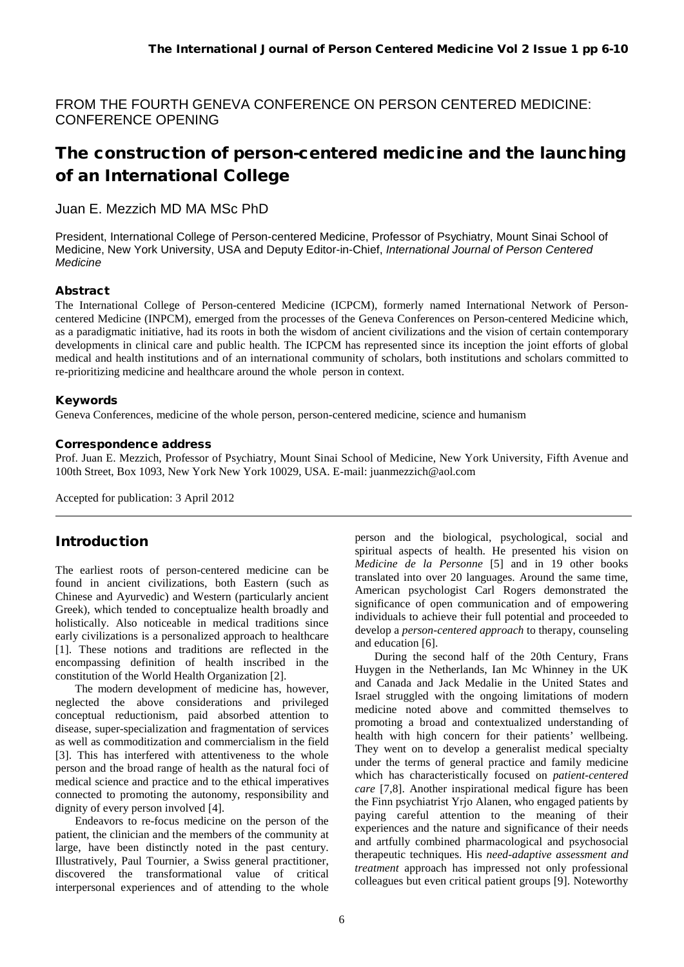FROM THE FOURTH GENEVA CONFERENCE ON PERSON CENTERED MEDICINE: CONFERENCE OPENING

# The construction of person-centered medicine and the launching of an International College

### Juan E. Mezzich MD MA MSc PhD

President, International College of Person-centered Medicine, Professor of Psychiatry, Mount Sinai School of Medicine, New York University, USA and Deputy Editor-in-Chief, *International Journal of Person Centered Medicine*

#### Abstract

The International College of Person-centered Medicine (ICPCM), formerly named International Network of Personcentered Medicine (INPCM), emerged from the processes of the Geneva Conferences on Person-centered Medicine which, as a paradigmatic initiative, had its roots in both the wisdom of ancient civilizations and the vision of certain contemporary developments in clinical care and public health. The ICPCM has represented since its inception the joint efforts of global medical and health institutions and of an international community of scholars, both institutions and scholars committed to re-prioritizing medicine and healthcare around the whole person in context.

#### Keywords

Geneva Conferences, medicine of the whole person, person-centered medicine, science and humanism

#### Correspondence address

Prof. Juan E. Mezzich, Professor of Psychiatry, Mount Sinai School of Medicine, New York University, Fifth Avenue and 100th Street, Box 1093, New York New York 10029, USA. E-mail: juanmezzich@aol.com

Accepted for publication: 3 April 2012

### Introduction

The earliest roots of person-centered medicine can be found in ancient civilizations, both Eastern (such as Chinese and Ayurvedic) and Western (particularly ancient Greek), which tended to conceptualize health broadly and holistically. Also noticeable in medical traditions since early civilizations is a personalized approach to healthcare [1]. These notions and traditions are reflected in the encompassing definition of health inscribed in the constitution of the World Health Organization [2].

The modern development of medicine has, however, neglected the above considerations and privileged conceptual reductionism, paid absorbed attention to disease, super-specialization and fragmentation of services as well as commoditization and commercialism in the field [3]. This has interfered with attentiveness to the whole person and the broad range of health as the natural foci of medical science and practice and to the ethical imperatives connected to promoting the autonomy, responsibility and dignity of every person involved [4].

Endeavors to re-focus medicine on the person of the patient, the clinician and the members of the community at large, have been distinctly noted in the past century. Illustratively, Paul Tournier, a Swiss general practitioner, discovered the transformational value of critical interpersonal experiences and of attending to the whole person and the biological, psychological, social and spiritual aspects of health. He presented his vision on *Medicine de la Personne* [5] and in 19 other books translated into over 20 languages. Around the same time, American psychologist Carl Rogers demonstrated the significance of open communication and of empowering individuals to achieve their full potential and proceeded to develop a *person-centered approach* to therapy, counseling and education [6].

During the second half of the 20th Century, Frans Huygen in the Netherlands, Ian Mc Whinney in the UK and Canada and Jack Medalie in the United States and Israel struggled with the ongoing limitations of modern medicine noted above and committed themselves to promoting a broad and contextualized understanding of health with high concern for their patients' wellbeing. They went on to develop a generalist medical specialty under the terms of general practice and family medicine which has characteristically focused on *patient-centered care* [7,8]. Another inspirational medical figure has been the Finn psychiatrist Yrjo Alanen, who engaged patients by paying careful attention to the meaning of their experiences and the nature and significance of their needs and artfully combined pharmacological and psychosocial therapeutic techniques. His *need-adaptive assessment and treatment* approach has impressed not only professional colleagues but even critical patient groups [9]. Noteworthy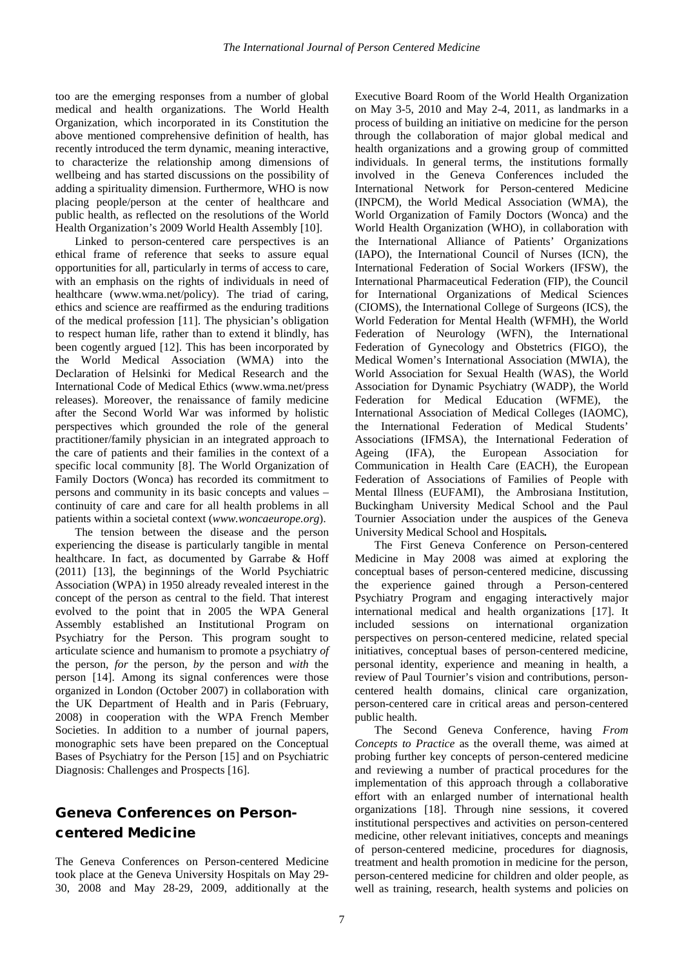too are the emerging responses from a number of global medical and health organizations. The World Health Organization, which incorporated in its Constitution the above mentioned comprehensive definition of health, has recently introduced the term dynamic, meaning interactive, to characterize the relationship among dimensions of wellbeing and has started discussions on the possibility of adding a spirituality dimension. Furthermore, WHO is now placing people/person at the center of healthcare and public health, as reflected on the resolutions of the World Health Organization's 2009 World Health Assembly [10].

Linked to person-centered care perspectives is an ethical frame of reference that seeks to assure equal opportunities for all, particularly in terms of access to care, with an emphasis on the rights of individuals in need of healthcare (www.wma.net/policy). The triad of caring, ethics and science are reaffirmed as the enduring traditions of the medical profession [11]. The physician's obligation to respect human life, rather than to extend it blindly, has been cogently argued [12]. This has been incorporated by the World Medical Association (WMA) into the Declaration of Helsinki for Medical Research and the International Code of Medical Ethics (www.wma.net/press releases). Moreover, the renaissance of family medicine after the Second World War was informed by holistic perspectives which grounded the role of the general practitioner/family physician in an integrated approach to the care of patients and their families in the context of a specific local community [8]. The World Organization of Family Doctors (Wonca) has recorded its commitment to persons and community in its basic concepts and values – continuity of care and care for all health problems in all patients within a societal context (*www.woncaeurope.org*).

The tension between the disease and the person experiencing the disease is particularly tangible in mental healthcare. In fact, as documented by Garrabe & Hoff (2011) [13], the beginnings of the World Psychiatric Association (WPA) in 1950 already revealed interest in the concept of the person as central to the field. That interest evolved to the point that in 2005 the WPA General Assembly established an Institutional Program on Psychiatry for the Person. This program sought to articulate science and humanism to promote a psychiatry *of* the person, *for* the person, *by* the person and *with* the person [14]. Among its signal conferences were those organized in London (October 2007) in collaboration with the UK Department of Health and in Paris (February, 2008) in cooperation with the WPA French Member Societies. In addition to a number of journal papers, monographic sets have been prepared on the Conceptual Bases of Psychiatry for the Person [15] and on Psychiatric Diagnosis: Challenges and Prospects [16].

## Geneva Conferences on Personcentered Medicine

The Geneva Conferences on Person-centered Medicine took place at the Geneva University Hospitals on May 29- 30, 2008 and May 28-29, 2009, additionally at the Executive Board Room of the World Health Organization on May 3-5, 2010 and May 2-4, 2011, as landmarks in a process of building an initiative on medicine for the person through the collaboration of major global medical and health organizations and a growing group of committed individuals. In general terms, the institutions formally involved in the Geneva Conferences included the International Network for Person-centered Medicine (INPCM), the World Medical Association (WMA), the World Organization of Family Doctors (Wonca) and the World Health Organization (WHO), in collaboration with the International Alliance of Patients' Organizations (IAPO), the International Council of Nurses (ICN), the International Federation of Social Workers (IFSW), the International Pharmaceutical Federation (FIP), the Council for International Organizations of Medical Sciences (CIOMS), the International College of Surgeons (ICS), the World Federation for Mental Health (WFMH), the World Federation of Neurology (WFN), the International Federation of Gynecology and Obstetrics (FIGO), the Medical Women's International Association (MWIA), the World Association for Sexual Health (WAS), the World Association for Dynamic Psychiatry (WADP), the World Federation for Medical Education (WFME), the International Association of Medical Colleges (IAOMC), the International Federation of Medical Students' Associations (IFMSA), the International Federation of<br>Ageing (IFA), the European Association for Ageing (IFA), the European Association for Communication in Health Care (EACH), the European Federation of Associations of Families of People with Mental Illness (EUFAMI), the Ambrosiana Institution, Buckingham University Medical School and the Paul Tournier Association under the auspices of the Geneva University Medical School and Hospitals*.* 

The First Geneva Conference on Person-centered Medicine in May 2008 was aimed at exploring the conceptual bases of person-centered medicine, discussing the experience gained through a Person-centered Psychiatry Program and engaging interactively major international medical and health organizations [17]. It included sessions on international organization perspectives on person-centered medicine, related special initiatives, conceptual bases of person-centered medicine, personal identity, experience and meaning in health, a review of Paul Tournier's vision and contributions, personcentered health domains, clinical care organization, person-centered care in critical areas and person-centered public health.

The Second Geneva Conference, having *From Concepts to Practice* as the overall theme, was aimed at probing further key concepts of person-centered medicine and reviewing a number of practical procedures for the implementation of this approach through a collaborative effort with an enlarged number of international health organizations [18]. Through nine sessions, it covered institutional perspectives and activities on person-centered medicine, other relevant initiatives, concepts and meanings of person-centered medicine, procedures for diagnosis, treatment and health promotion in medicine for the person, person-centered medicine for children and older people, as well as training, research, health systems and policies on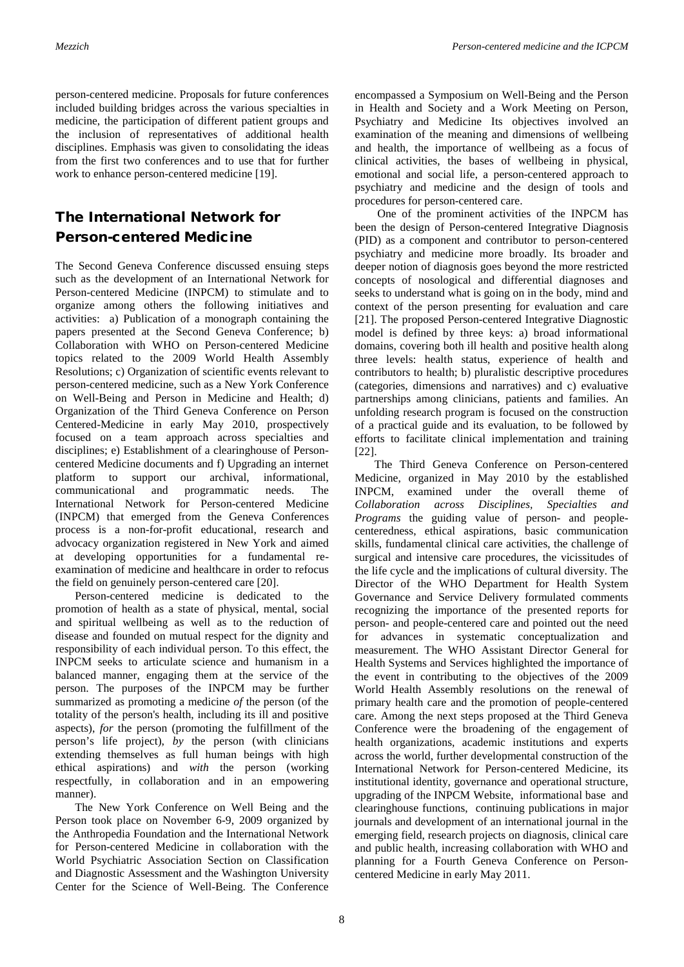person-centered medicine. Proposals for future conferences included building bridges across the various specialties in medicine, the participation of different patient groups and the inclusion of representatives of additional health disciplines. Emphasis was given to consolidating the ideas from the first two conferences and to use that for further work to enhance person-centered medicine [19].

## The International Network for Person-centered Medicine

The Second Geneva Conference discussed ensuing steps such as the development of an International Network for Person-centered Medicine (INPCM) to stimulate and to organize among others the following initiatives and activities: a) Publication of a monograph containing the papers presented at the Second Geneva Conference; b) Collaboration with WHO on Person-centered Medicine topics related to the 2009 World Health Assembly Resolutions; c) Organization of scientific events relevant to person-centered medicine, such as a New York Conference on Well-Being and Person in Medicine and Health; d) Organization of the Third Geneva Conference on Person Centered-Medicine in early May 2010, prospectively focused on a team approach across specialties and disciplines; e) Establishment of a clearinghouse of Personcentered Medicine documents and f) Upgrading an internet platform to support our archival, informational, communicational and programmatic needs. The International Network for Person-centered Medicine (INPCM) that emerged from the Geneva Conferences process is a non-for-profit educational, research and advocacy organization registered in New York and aimed at developing opportunities for a fundamental reexamination of medicine and healthcare in order to refocus the field on genuinely person-centered care [20].

Person-centered medicine is dedicated to the promotion of health as a state of physical, mental, social and spiritual wellbeing as well as to the reduction of disease and founded on mutual respect for the dignity and responsibility of each individual person. To this effect, the INPCM seeks to articulate science and humanism in a balanced manner, engaging them at the service of the person. The purposes of the INPCM may be further summarized as promoting a medicine *of* the person (of the totality of the person's health, including its ill and positive aspects), *for* the person (promoting the fulfillment of the person's life project), *by* the person (with clinicians extending themselves as full human beings with high ethical aspirations) and *with* the person (working respectfully, in collaboration and in an empowering manner).

The New York Conference on Well Being and the Person took place on November 6-9, 2009 organized by the Anthropedia Foundation and the International Network for Person-centered Medicine in collaboration with the World Psychiatric Association Section on Classification and Diagnostic Assessment and the Washington University Center for the Science of Well-Being. The Conference

encompassed a Symposium on Well-Being and the Person in Health and Society and a Work Meeting on Person, Psychiatry and Medicine Its objectives involved an examination of the meaning and dimensions of wellbeing and health, the importance of wellbeing as a focus of clinical activities, the bases of wellbeing in physical, emotional and social life, a person-centered approach to psychiatry and medicine and the design of tools and procedures for person-centered care.

One of the prominent activities of the INPCM has been the design of Person-centered Integrative Diagnosis (PID) as a component and contributor to person-centered psychiatry and medicine more broadly. Its broader and deeper notion of diagnosis goes beyond the more restricted concepts of nosological and differential diagnoses and seeks to understand what is going on in the body, mind and context of the person presenting for evaluation and care [21]. The proposed Person-centered Integrative Diagnostic model is defined by three keys: a) broad informational domains, covering both ill health and positive health along three levels: health status, experience of health and contributors to health; b) pluralistic descriptive procedures (categories, dimensions and narratives) and c) evaluative partnerships among clinicians, patients and families. An unfolding research program is focused on the construction of a practical guide and its evaluation, to be followed by efforts to facilitate clinical implementation and training [22].

The Third Geneva Conference on Person-centered Medicine, organized in May 2010 by the established INPCM, examined under the overall theme of *Collaboration across Disciplines, Specialties and Programs* the guiding value of person- and peoplecenteredness, ethical aspirations, basic communication skills, fundamental clinical care activities, the challenge of surgical and intensive care procedures, the vicissitudes of the life cycle and the implications of cultural diversity. The Director of the WHO Department for Health System Governance and Service Delivery formulated comments recognizing the importance of the presented reports for person- and people-centered care and pointed out the need for advances in systematic conceptualization and measurement. The WHO Assistant Director General for Health Systems and Services highlighted the importance of the event in contributing to the objectives of the 2009 World Health Assembly resolutions on the renewal of primary health care and the promotion of people-centered care. Among the next steps proposed at the Third Geneva Conference were the broadening of the engagement of health organizations, academic institutions and experts across the world, further developmental construction of the International Network for Person-centered Medicine, its institutional identity, governance and operational structure, upgrading of the INPCM Website, informational base and clearinghouse functions, continuing publications in major journals and development of an international journal in the emerging field, research projects on diagnosis, clinical care and public health, increasing collaboration with WHO and planning for a Fourth Geneva Conference on Personcentered Medicine in early May 2011.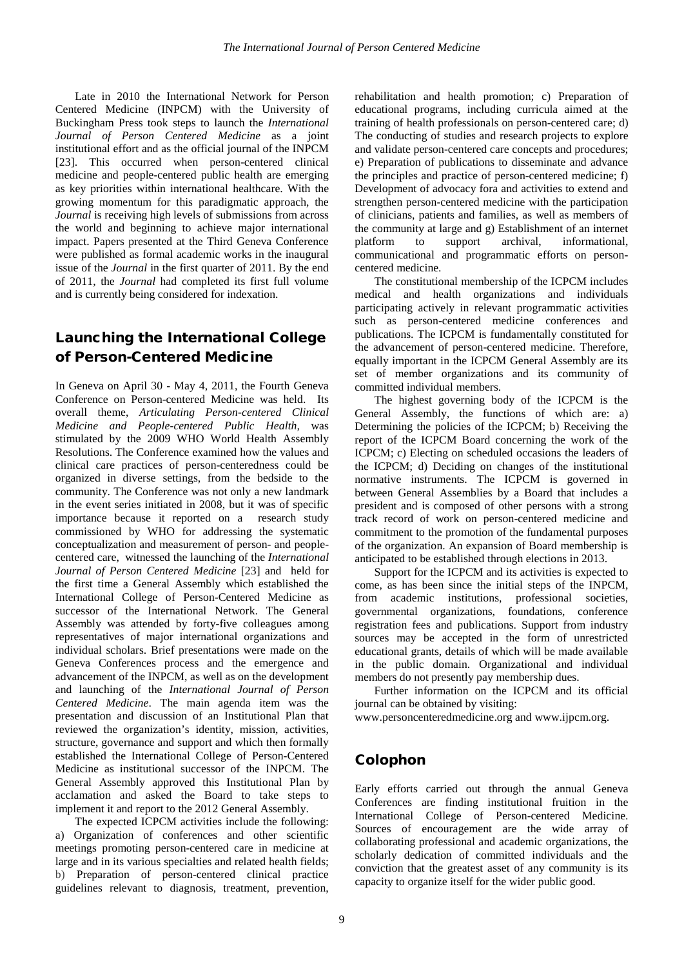Late in 2010 the International Network for Person Centered Medicine (INPCM) with the University of Buckingham Press took steps to launch the *International Journal of Person Centered Medicine* as a joint institutional effort and as the official journal of the INPCM [23]. This occurred when person-centered clinical medicine and people-centered public health are emerging as key priorities within international healthcare. With the growing momentum for this paradigmatic approach, the *Journal* is receiving high levels of submissions from across the world and beginning to achieve major international impact. Papers presented at the Third Geneva Conference were published as formal academic works in the inaugural issue of the *Journal* in the first quarter of 2011. By the end of 2011, the *Journal* had completed its first full volume and is currently being considered for indexation.

## Launching the International College of Person-Centered Medicine

In Geneva on April 30 - May 4, 2011, the Fourth Geneva Conference on Person-centered Medicine was held. Its overall theme, *Articulating Person-centered Clinical Medicine and People-centered Public Health,* was stimulated by the 2009 WHO World Health Assembly Resolutions. The Conference examined how the values and clinical care practices of person-centeredness could be organized in diverse settings, from the bedside to the community. The Conference was not only a new landmark in the event series initiated in 2008, but it was of specific importance because it reported on a research study commissioned by WHO for addressing the systematic conceptualization and measurement of person- and peoplecentered care, witnessed the launching of the *International Journal of Person Centered Medicine* [23] and held for the first time a General Assembly which established the International College of Person-Centered Medicine as successor of the International Network. The General Assembly was attended by forty-five colleagues among representatives of major international organizations and individual scholars. Brief presentations were made on the Geneva Conferences process and the emergence and advancement of the INPCM, as well as on the development and launching of the *International Journal of Person Centered Medicine*. The main agenda item was the presentation and discussion of an Institutional Plan that reviewed the organization's identity, mission, activities, structure, governance and support and which then formally established the International College of Person-Centered Medicine as institutional successor of the INPCM. The General Assembly approved this Institutional Plan by acclamation and asked the Board to take steps to implement it and report to the 2012 General Assembly.

The expected ICPCM activities include the following: a) Organization of conferences and other scientific meetings promoting person-centered care in medicine at large and in its various specialties and related health fields; b) Preparation of person-centered clinical practice guidelines relevant to diagnosis, treatment, prevention, rehabilitation and health promotion; c) Preparation of educational programs, including curricula aimed at the training of health professionals on person-centered care; d) The conducting of studies and research projects to explore and validate person-centered care concepts and procedures; e) Preparation of publications to disseminate and advance the principles and practice of person-centered medicine; f) Development of advocacy fora and activities to extend and strengthen person-centered medicine with the participation of clinicians, patients and families, as well as members of the community at large and g) Establishment of an internet platform to support archival, informational, communicational and programmatic efforts on personcentered medicine.

The constitutional membership of the ICPCM includes medical and health organizations and individuals participating actively in relevant programmatic activities such as person-centered medicine conferences and publications. The ICPCM is fundamentally constituted for the advancement of person-centered medicine. Therefore, equally important in the ICPCM General Assembly are its set of member organizations and its community of committed individual members.

The highest governing body of the ICPCM is the General Assembly, the functions of which are: a) Determining the policies of the ICPCM; b) Receiving the report of the ICPCM Board concerning the work of the ICPCM; c) Electing on scheduled occasions the leaders of the ICPCM; d) Deciding on changes of the institutional normative instruments. The ICPCM is governed in between General Assemblies by a Board that includes a president and is composed of other persons with a strong track record of work on person-centered medicine and commitment to the promotion of the fundamental purposes of the organization. An expansion of Board membership is anticipated to be established through elections in 2013.

Support for the ICPCM and its activities is expected to come, as has been since the initial steps of the INPCM, from academic institutions, professional societies, governmental organizations, foundations, conference registration fees and publications. Support from industry sources may be accepted in the form of unrestricted educational grants, details of which will be made available in the public domain. Organizational and individual members do not presently pay membership dues.

Further information on the ICPCM and its official journal can be obtained by visiting:

www.personcenteredmedicine.org and www.ijpcm.org.

### Colophon

Early efforts carried out through the annual Geneva Conferences are finding institutional fruition in the International College of Person-centered Medicine. Sources of encouragement are the wide array of collaborating professional and academic organizations, the scholarly dedication of committed individuals and the conviction that the greatest asset of any community is its capacity to organize itself for the wider public good.